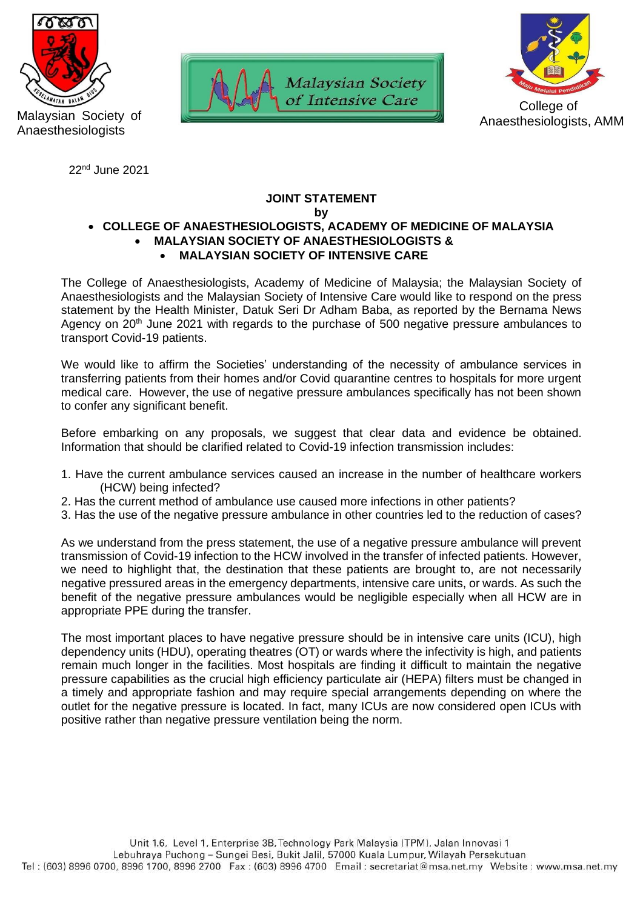

Malaysian Society of Anaesthesiologists

22nd June 2021





Anaesthesiologists, AMM

## **JOINT STATEMENT**

**by**

## • **COLLEGE OF ANAESTHESIOLOGISTS, ACADEMY OF MEDICINE OF MALAYSIA** • **MALAYSIAN SOCIETY OF ANAESTHESIOLOGISTS &**  • **MALAYSIAN SOCIETY OF INTENSIVE CARE**

The College of Anaesthesiologists, Academy of Medicine of Malaysia; the Malaysian Society of Anaesthesiologists and the Malaysian Society of Intensive Care would like to respond on the press statement by the Health Minister, Datuk Seri Dr Adham Baba, as reported by the Bernama News Agency on 20<sup>th</sup> June 2021 with regards to the purchase of 500 negative pressure ambulances to transport Covid-19 patients.

We would like to affirm the Societies' understanding of the necessity of ambulance services in transferring patients from their homes and/or Covid quarantine centres to hospitals for more urgent medical care. However, the use of negative pressure ambulances specifically has not been shown to confer any significant benefit.

Before embarking on any proposals, we suggest that clear data and evidence be obtained. Information that should be clarified related to Covid-19 infection transmission includes:

- 1. Have the current ambulance services caused an increase in the number of healthcare workers (HCW) being infected?
- 2. Has the current method of ambulance use caused more infections in other patients?
- 3. Has the use of the negative pressure ambulance in other countries led to the reduction of cases?

As we understand from the press statement, the use of a negative pressure ambulance will prevent transmission of Covid-19 infection to the HCW involved in the transfer of infected patients. However, we need to highlight that, the destination that these patients are brought to, are not necessarily negative pressured areas in the emergency departments, intensive care units, or wards. As such the benefit of the negative pressure ambulances would be negligible especially when all HCW are in appropriate PPE during the transfer.

The most important places to have negative pressure should be in intensive care units (ICU), high dependency units (HDU), operating theatres (OT) or wards where the infectivity is high, and patients remain much longer in the facilities. Most hospitals are finding it difficult to maintain the negative pressure capabilities as the crucial high efficiency particulate air (HEPA) filters must be changed in a timely and appropriate fashion and may require special arrangements depending on where the outlet for the negative pressure is located. In fact, many ICUs are now considered open ICUs with positive rather than negative pressure ventilation being the norm.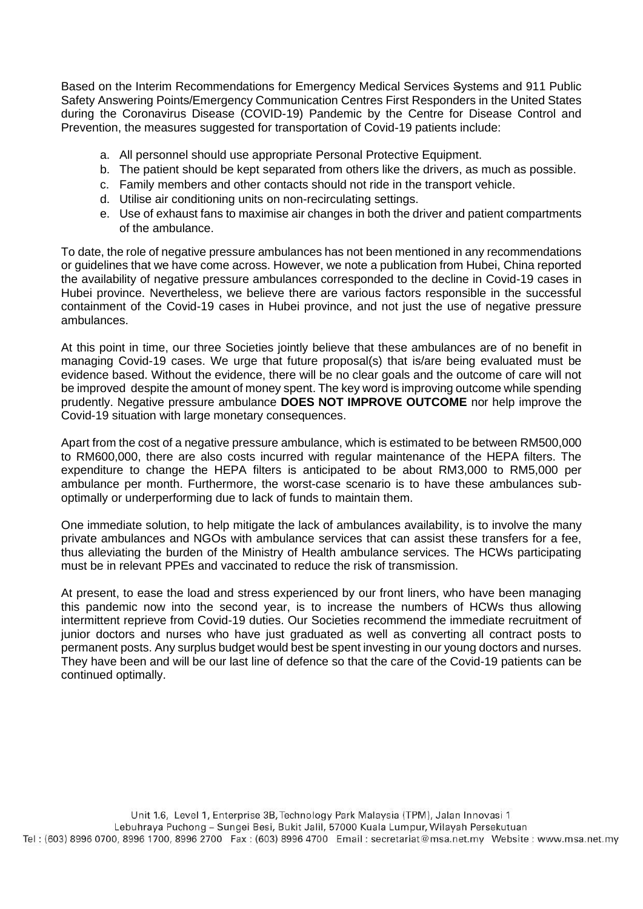Based on the Interim Recommendations for Emergency Medical Services Systems and 911 Public Safety Answering Points/Emergency Communication Centres First Responders in the United States during the Coronavirus Disease (COVID-19) Pandemic by the Centre for Disease Control and Prevention, the measures suggested for transportation of Covid-19 patients include:

- a. All personnel should use appropriate Personal Protective Equipment.
- b. The patient should be kept separated from others like the drivers, as much as possible.
- c. Family members and other contacts should not ride in the transport vehicle.
- d. Utilise air conditioning units on non-recirculating settings.
- e. Use of exhaust fans to maximise air changes in both the driver and patient compartments of the ambulance.

To date, the role of negative pressure ambulances has not been mentioned in any recommendations or guidelines that we have come across. However, we note a publication from Hubei, China reported the availability of negative pressure ambulances corresponded to the decline in Covid-19 cases in Hubei province. Nevertheless, we believe there are various factors responsible in the successful containment of the Covid-19 cases in Hubei province, and not just the use of negative pressure ambulances.

At this point in time, our three Societies jointly believe that these ambulances are of no benefit in managing Covid-19 cases. We urge that future proposal(s) that is/are being evaluated must be evidence based. Without the evidence, there will be no clear goals and the outcome of care will not be improved despite the amount of money spent. The key word is improving outcome while spending prudently. Negative pressure ambulance **DOES NOT IMPROVE OUTCOME** nor help improve the Covid-19 situation with large monetary consequences.

Apart from the cost of a negative pressure ambulance, which is estimated to be between RM500,000 to RM600,000, there are also costs incurred with regular maintenance of the HEPA filters. The expenditure to change the HEPA filters is anticipated to be about RM3,000 to RM5,000 per ambulance per month. Furthermore, the worst-case scenario is to have these ambulances suboptimally or underperforming due to lack of funds to maintain them.

One immediate solution, to help mitigate the lack of ambulances availability, is to involve the many private ambulances and NGOs with ambulance services that can assist these transfers for a fee, thus alleviating the burden of the Ministry of Health ambulance services. The HCWs participating must be in relevant PPEs and vaccinated to reduce the risk of transmission.

At present, to ease the load and stress experienced by our front liners, who have been managing this pandemic now into the second year, is to increase the numbers of HCWs thus allowing intermittent reprieve from Covid-19 duties. Our Societies recommend the immediate recruitment of junior doctors and nurses who have just graduated as well as converting all contract posts to permanent posts. Any surplus budget would best be spent investing in our young doctors and nurses. They have been and will be our last line of defence so that the care of the Covid-19 patients can be continued optimally.